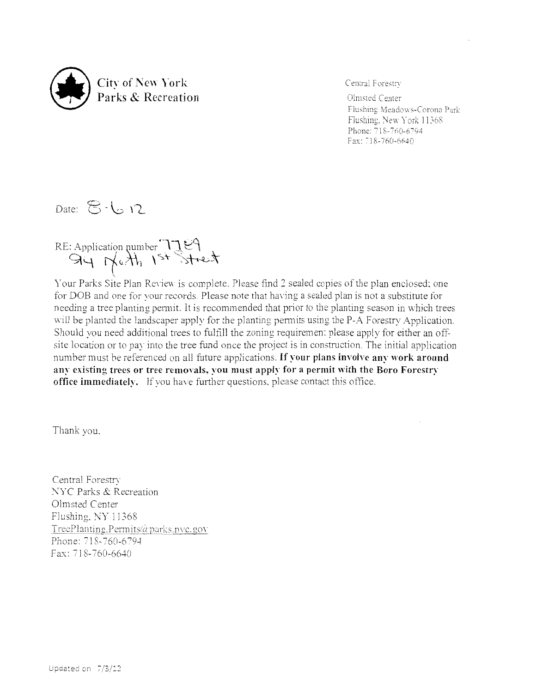

Central Forestry

Flushing Meadows-Corona Park Flushing, New York 11368 Phone: 718-760-6794 Fax: 718-760-6640

Date:  $\mathbb{E}\cdot\bigcup_{i=1}^{\infty}$  12

RE: Application number  $\mathcal{H}$   $\mathcal{C}$  $\overrightarrow{H}$   $\rightarrow$   $\overrightarrow{H}$   $\rightarrow$   $\overrightarrow{H}$   $\rightarrow$ 

Your Parks Site Plan Review is complete. Please find 2 sealed copies of the plan enclosed; one for DOB and one for your records. Please note that having a sealed plan is not a substitute for needing a tree planting permit. It is recommended that prior to the planting season in which trees will be planted the landscaper apply for the planting permits using the P-A Forestry Application. Should you need additional trees to fulfill the zoning requiremen: please apply for either an offsite location or to pay into the tree fund once the project is in construction. The initial application number must be referenced on all future applications. If your **plans involve any work around any existing trees or tree removals. you must apply for a permit with the Boro Forestry office immediately.** If you have further questions, please contact this office.

Thank you.

Central Forestrv NYC Parks & Recreation Olmsted Center Flushing. NY 11368 TreePlanting.Permits(aparks.nvc.gov **Phone: 718-760-6794** Fax: 718-760-6640